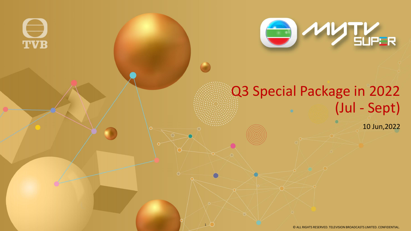

# Q3 Special Package in 2022 (Jul - Sept)

 $1-\sqrt{2}$ 

<u>est</u>

**TVB** 

10 Jun,2022

© ALL RIGHTS RESERVED. TELEVISION BROADCASTS LIMITED. CONFIDENTIAL.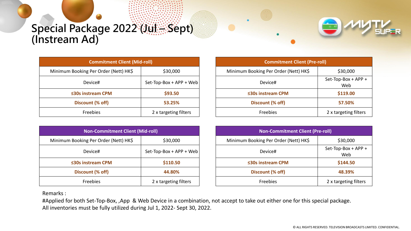## **Special Package 2022 (Jul – Sept) (Instream Ad)**

| <b>Commitment Client (Mid-roll)</b>   |                         | <b>Commitment Client (Pre-roll)</b>   |                      |
|---------------------------------------|-------------------------|---------------------------------------|----------------------|
| Minimum Booking Per Order (Nett) HK\$ | \$30,000                | Minimum Booking Per Order (Nett) HK\$ | \$30,000             |
| Device#                               | Set-Top-Box + APP + Web | Device#                               | Set-Top-Box +<br>Web |
| $\leq$ 30s instream CPM               | \$93.50                 | $≤30s$ instream CPM                   | \$119.00             |
| Discount (% off)                      | 53.25%                  | Discount (% off)                      | 57.50%               |
| Freebies                              | 2 x targeting filters   | Freebies                              | 2 x targeting f      |

| <b>Commitment Client (Mid-roll)</b> |                         | <b>Commitment Client (Pre-roll)</b>   |                            |  |
|-------------------------------------|-------------------------|---------------------------------------|----------------------------|--|
| Booking Per Order (Nett) HK\$       | \$30,000                | Minimum Booking Per Order (Nett) HK\$ | \$30,000                   |  |
| Device#                             | Set-Top-Box + APP + Web | Device#                               | Set-Top-Box + APP +<br>Web |  |
| ≤30s instream CPM                   | \$93.50                 | ≤30s instream CPM                     | \$119.00                   |  |
| Discount (% off)                    | 53.25%                  | Discount (% off)                      | 57.50%                     |  |
| Freebies                            | 2 x targeting filters   | <b>Freebies</b>                       | 2 x targeting filters      |  |

| <b>Non-Commitment Client (Mid-roll)</b> |                         | <b>Non-Commitment Client (Pre-roll)</b> |                      |
|-----------------------------------------|-------------------------|-----------------------------------------|----------------------|
| Minimum Booking Per Order (Nett) HK\$   | \$30,000                | Minimum Booking Per Order (Nett) HK\$   | \$30,000             |
| Device#                                 | Set-Top-Box + APP + Web | Device#                                 | Set-Top-Box +<br>Web |
| $\leq$ 30s instream CPM                 | \$110.50                | $\leq$ 30s instream CPM                 | \$144.50             |
| Discount (% off)                        | 44.80%                  | Discount (% off)                        | 48.39%               |
| Freebies                                | 2 x targeting filters   | Freebies                                | 2 x targeting f      |

| <b>Non-Commitment Client (Mid-roll)</b> |                         | <b>Non-Commitment Client (Pre-roll)</b> |                            |  |
|-----------------------------------------|-------------------------|-----------------------------------------|----------------------------|--|
| Booking Per Order (Nett) HK\$           | \$30,000                | Minimum Booking Per Order (Nett) HK\$   | \$30,000                   |  |
| Device#                                 | Set-Top-Box + APP + Web | Device#                                 | Set-Top-Box + APP +<br>Web |  |
| ≤30s instream CPM                       | \$110.50                | $\leq$ 30s instream CPM                 | \$144.50                   |  |
| Discount (% off)                        | 44.80%                  | Discount (% off)                        | 48.39%                     |  |
| Freebies                                | 2 x targeting filters   | Freebies                                | 2 x targeting filters      |  |

Remarks :

#Applied for both Set-Top-Box, ,App & Web Device in a combination, not accept to take out either one for this special package. All inventories must be fully utilized during Jul 1, 2022- Sept 30, 2022.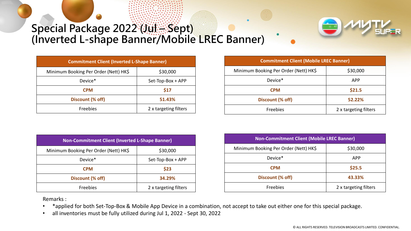

#### **Special Package 2022 (Jul – Sept) (Inverted L-shape Banner/Mobile LREC Banner)**

| <b>Commitment Client (Inverted L-Shape Banner)</b> |                       |  |
|----------------------------------------------------|-----------------------|--|
| Minimum Booking Per Order (Nett) HK\$              | \$30,000              |  |
| Device*                                            | Set-Top-Box + APP     |  |
| <b>CPM</b>                                         | \$17                  |  |
| Discount (% off)                                   | 51.43%                |  |
| Freebies                                           | 2 x targeting filters |  |

| <b>Commitment Client (Mobile LREC Banner)</b> |                       |  |
|-----------------------------------------------|-----------------------|--|
| Minimum Booking Per Order (Nett) HK\$         | \$30,000              |  |
| Device*                                       | <b>APP</b>            |  |
| <b>CPM</b>                                    | \$21.5                |  |
| Discount (% off)                              | 52.22%                |  |
| Freebies                                      | 2 x targeting filters |  |

| Non-Commitment Client (Inverted L-Shape Banner) |                       |  |
|-------------------------------------------------|-----------------------|--|
| Minimum Booking Per Order (Nett) HK\$           | \$30,000              |  |
| Device <sup>*</sup>                             | Set-Top-Box + APP     |  |
| <b>CPM</b>                                      | \$23                  |  |
| Discount (% off)                                | 34.29%                |  |
| <b>Freebies</b>                                 | 2 x targeting filters |  |

| <b>Non-Commitment Client (Mobile LREC Banner)</b> |                       |  |
|---------------------------------------------------|-----------------------|--|
| Minimum Booking Per Order (Nett) HK\$             | \$30,000              |  |
| Device*                                           | <b>APP</b>            |  |
| <b>CPM</b>                                        | \$25.5                |  |
| Discount (% off)                                  | 43.33%                |  |
| <b>Freebies</b>                                   | 2 x targeting filters |  |

Remarks :

- \*applied for both Set-Top-Box & Mobile App Device in a combination, not accept to take out either one for this special package.
- all inventories must be fully utilized during Jul 1, 2022 Sept 30, 2022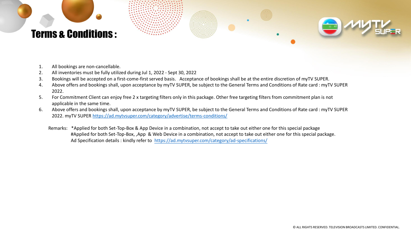

- 1. All bookings are non-cancellable.
- 2. All inventories must be fully utilized during Jul 1, 2022 Sept 30, 2022
- 3. Bookings will be accepted on a first-come-first served basis. Acceptance of bookings shall be at the entire discretion of myTV SUPER.
- 4. Above offers and bookings shall, upon acceptance by myTV SUPER, be subject to the General Terms and Conditions of Rate card : myTV SUPER 2022.
- 5. For Commitment Client can enjoy free 2 x targeting filters only in this package. Other free targeting filters from commitment plan is not applicable in the same time.
- 6. Above offers and bookings shall, upon acceptance by myTV SUPER, be subject to the General Terms and Conditions of Rate card : myTV SUPER 2022. myTV SUPER<https://ad.mytvsuper.com/category/advertise/terms-conditions/>
	- Remarks: \*Applied for both Set-Top-Box & App Device in a combination, not accept to take out either one for this special package #Applied for both Set-Top-Box, ,App & Web Device in a combination, not accept to take out either one for this special package. Ad Specification details : kindly refer to <https://ad.mytvsuper.com/category/ad-specifications/>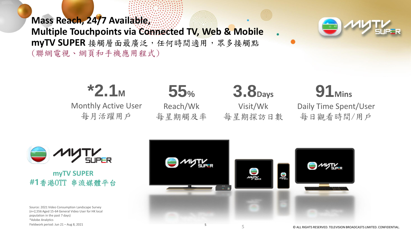**Mass Reach, 24/7 Available, Multiple Touchpoints via Connected TV, Web & Mobile myTV SUPER** 接觸層面最廣泛,任何時間適用,眾多接觸點 (聯網電視、網頁和手機應用程式)



#### **\*2.1<sup>M</sup>** Monthly Active User 每月活躍用戶 **55%** Reach/Wk 每星期觸及率 **3.8Days** Visit/Wk 每星期探訪日數

## **91Mins** Daily Time Spent/User 每日觀看時間/用戶



#### **myTV SUPER #1**香港OTT 串流媒體平台

Source: 2021 Video Consumption Landscape Survey (n=2,556 Aged 15-64 General Video User for HK local population in the past 7 days) \*Adobe Analytics Fieldwork period: Jun 21 – Aug 8, 2021



© ALL RIGHTS RESERVED. TELEVISION BROADCASTS LIMITED. CONFIDENTIAL.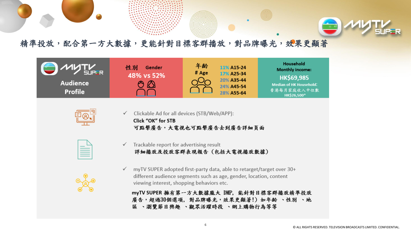

#### 精準投放,配合第一方大數據,更能針對目標客群播放,對品牌曝光,效果更顯著



Clickable Ad for all devices (STB/Web/APP):  $\checkmark$ Click "OK" for STB 可點擊廣告,大電視也可點擊廣告去到廣告詳細頁面

| ___ |  |
|-----|--|

Trackable report for advertising result  $\checkmark$ 詳細播放及投放客群表現報告 (包括大電視播放數據)



 $\checkmark$  myTV SUPER adopted first-party data, able to retarget/target over 30+ different audience segments such as age, gender, location, content viewing interest, shopping behaviors etc.

myTV SUPER 擁有第一方大數據龐大 DMP, 能針對目標客群播放精準投放 廣告,超過30個選項,對品牌曝光,效果更顯著!)如年齡、性別、地 區 、瀏覽節目興趣 、觀眾活躍時段 、網上購物行為等等